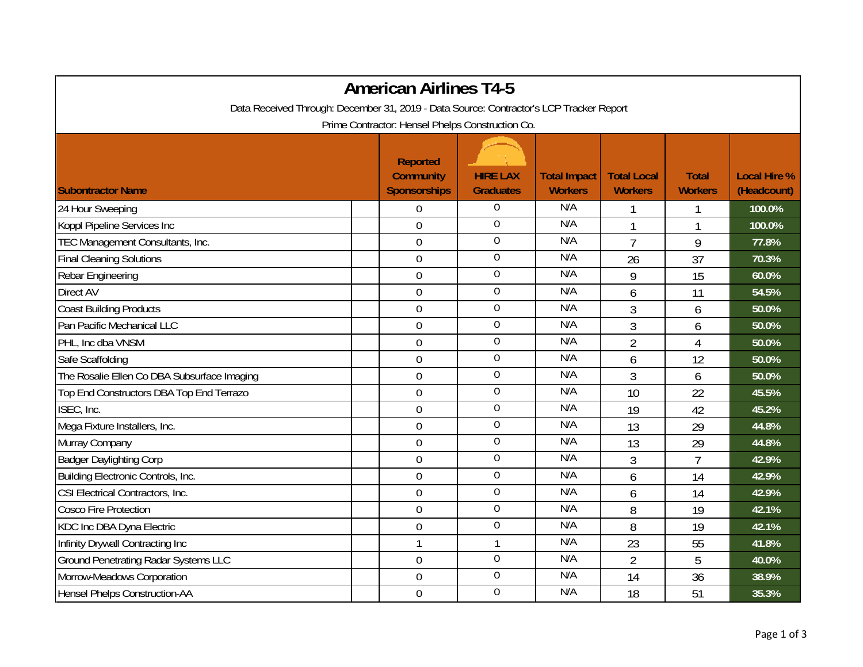|                                                                                         | <b>American Airlines T4-5</b>                              |                                     |                                       |                                      |                                |                                    |
|-----------------------------------------------------------------------------------------|------------------------------------------------------------|-------------------------------------|---------------------------------------|--------------------------------------|--------------------------------|------------------------------------|
| Data Received Through: December 31, 2019 - Data Source: Contractor's LCP Tracker Report |                                                            |                                     |                                       |                                      |                                |                                    |
|                                                                                         | Prime Contractor: Hensel Phelps Construction Co.           |                                     |                                       |                                      |                                |                                    |
| <b>Subontractor Name</b>                                                                | <b>Reported</b><br><b>Community</b><br><b>Sponsorships</b> | <b>HIRE LAX</b><br><b>Graduates</b> | <b>Total Impact</b><br><b>Workers</b> | <b>Total Local</b><br><b>Workers</b> | <b>Total</b><br><b>Workers</b> | <b>Local Hire %</b><br>(Headcount) |
| 24 Hour Sweeping                                                                        | 0                                                          | $\boldsymbol{0}$                    | N/A                                   |                                      | 1                              | 100.0%                             |
| Koppl Pipeline Services Inc                                                             | $\mathbf 0$                                                | $\overline{0}$                      | N/A                                   | 1                                    | 1                              | 100.0%                             |
| TEC Management Consultants, Inc.                                                        | $\mathbf 0$                                                | $\overline{0}$                      | N/A                                   | $\overline{7}$                       | 9                              | 77.8%                              |
| <b>Final Cleaning Solutions</b>                                                         | $\boldsymbol{0}$                                           | $\boldsymbol{0}$                    | N/A                                   | 26                                   | 37                             | 70.3%                              |
| Rebar Engineering                                                                       | $\mathbf 0$                                                | $\boldsymbol{0}$                    | N/A                                   | 9                                    | 15                             | 60.0%                              |
| <b>Direct AV</b>                                                                        | $\overline{0}$                                             | $\overline{0}$                      | N/A                                   | 6                                    | 11                             | 54.5%                              |
| <b>Coast Building Products</b>                                                          | $\boldsymbol{0}$                                           | $\overline{0}$                      | N/A                                   | 3                                    | 6                              | 50.0%                              |
| Pan Pacific Mechanical LLC                                                              | $\mathbf 0$                                                | $\overline{0}$                      | N/A                                   | 3                                    | 6                              | 50.0%                              |
| PHL, Inc dba VNSM                                                                       | $\overline{0}$                                             | $\overline{0}$                      | N/A                                   | $\overline{2}$                       | $\overline{4}$                 | 50.0%                              |
| Safe Scaffolding                                                                        | $\boldsymbol{0}$                                           | $\overline{0}$                      | N/A                                   | 6                                    | 12                             | 50.0%                              |
| The Rosalie Ellen Co DBA Subsurface Imaging                                             | $\mathbf 0$                                                | $\boldsymbol{0}$                    | N/A                                   | 3                                    | 6                              | 50.0%                              |
| Top End Constructors DBA Top End Terrazo                                                | $\overline{0}$                                             | $\overline{0}$                      | N/A                                   | 10                                   | 22                             | 45.5%                              |
| ISEC, Inc.                                                                              | $\mathbf 0$                                                | $\overline{0}$                      | N/A                                   | 19                                   | 42                             | 45.2%                              |
| Mega Fixture Installers, Inc.                                                           | $\mathbf 0$                                                | $\overline{0}$                      | N/A                                   | 13                                   | 29                             | 44.8%                              |
| Murray Company                                                                          | $\mathbf 0$                                                | $\overline{0}$                      | N/A                                   | 13                                   | 29                             | 44.8%                              |
| <b>Badger Daylighting Corp</b>                                                          | $\mathbf 0$                                                | $\boldsymbol{0}$                    | N/A                                   | 3                                    | $\overline{7}$                 | 42.9%                              |
| Building Electronic Controls, Inc.                                                      | $\mathbf 0$                                                | $\overline{0}$                      | N/A                                   | 6                                    | 14                             | 42.9%                              |
| CSI Electrical Contractors, Inc.                                                        | $\mathbf 0$                                                | $\overline{0}$                      | N/A                                   | 6                                    | 14                             | 42.9%                              |
| <b>Cosco Fire Protection</b>                                                            | $\mathbf 0$                                                | $\overline{0}$                      | N/A                                   | 8                                    | 19                             | 42.1%                              |
| KDC Inc DBA Dyna Electric                                                               | $\mathbf 0$                                                | $\overline{0}$                      | N/A                                   | 8                                    | 19                             | 42.1%                              |
| Infinity Drywall Contracting Inc                                                        | $\mathbf{1}$                                               | $\mathbf{1}$                        | N/A                                   | 23                                   | 55                             | 41.8%                              |
| <b>Ground Penetrating Radar Systems LLC</b>                                             | $\mathbf 0$                                                | $\overline{0}$                      | N/A                                   | $\overline{2}$                       | 5                              | 40.0%                              |
| Morrow-Meadows Corporation                                                              | $\overline{0}$                                             | $\overline{0}$                      | N/A                                   | 14                                   | 36                             | 38.9%                              |
| <b>Hensel Phelps Construction-AA</b>                                                    | $\boldsymbol{0}$                                           | $\overline{0}$                      | N/A                                   | 18                                   | 51                             | 35.3%                              |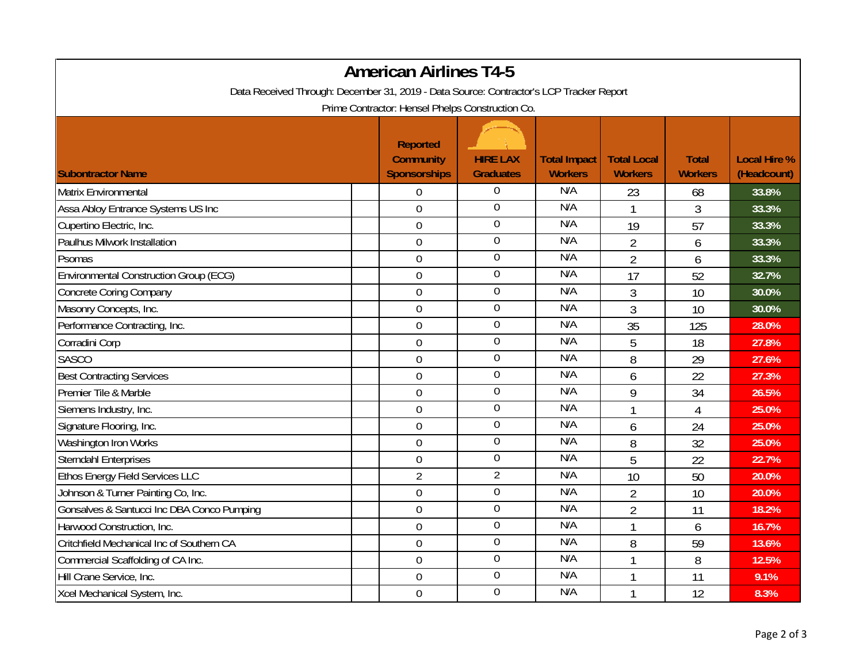| <b>American Airlines T4-5</b>                                                                                                               |                                                            |                                     |                                       |                                      |                                |                                    |  |  |
|---------------------------------------------------------------------------------------------------------------------------------------------|------------------------------------------------------------|-------------------------------------|---------------------------------------|--------------------------------------|--------------------------------|------------------------------------|--|--|
| Data Received Through: December 31, 2019 - Data Source: Contractor's LCP Tracker Report<br>Prime Contractor: Hensel Phelps Construction Co. |                                                            |                                     |                                       |                                      |                                |                                    |  |  |
| <b>Subontractor Name</b>                                                                                                                    | <b>Reported</b><br><b>Community</b><br><b>Sponsorships</b> | <b>HIRE LAX</b><br><b>Graduates</b> | <b>Total Impact</b><br><b>Workers</b> | <b>Total Local</b><br><b>Workers</b> | <b>Total</b><br><b>Workers</b> | <b>Local Hire %</b><br>(Headcount) |  |  |
| Matrix Environmental                                                                                                                        | $\boldsymbol{0}$                                           | 0                                   | N/A                                   | 23                                   | 68                             | 33.8%                              |  |  |
| Assa Abloy Entrance Systems US Inc                                                                                                          | $\mathbf 0$                                                | $\mathbf 0$                         | N/A                                   |                                      | $\overline{3}$                 | 33.3%                              |  |  |
| Cupertino Electric, Inc.                                                                                                                    | $\mathbf 0$                                                | $\boldsymbol{0}$                    | N/A                                   | 19                                   | 57                             | 33.3%                              |  |  |
| Paulhus Milwork Installation                                                                                                                | $\boldsymbol{0}$                                           | $\boldsymbol{0}$                    | N/A                                   | $\overline{2}$                       | 6                              | 33.3%                              |  |  |
| Psomas                                                                                                                                      | $\boldsymbol{0}$                                           | $\boldsymbol{0}$                    | N/A                                   | $\overline{2}$                       | 6                              | 33.3%                              |  |  |
| <b>Environmental Construction Group (ECG)</b>                                                                                               | $\overline{0}$                                             | $\boldsymbol{0}$                    | N/A                                   | 17                                   | 52                             | 32.7%                              |  |  |
| <b>Concrete Coring Company</b>                                                                                                              | $\boldsymbol{0}$                                           | $\boldsymbol{0}$                    | N/A                                   | 3                                    | 10                             | 30.0%                              |  |  |
| Masonry Concepts, Inc.                                                                                                                      | $\boldsymbol{0}$                                           | $\boldsymbol{0}$                    | N/A                                   | 3                                    | 10                             | 30.0%                              |  |  |
| Performance Contracting, Inc.                                                                                                               | $\overline{0}$                                             | $\overline{0}$                      | N/A                                   | 35                                   | 125                            | 28.0%                              |  |  |
| Corradini Corp                                                                                                                              | $\mathbf 0$                                                | $\boldsymbol{0}$                    | N/A                                   | 5                                    | 18                             | 27.8%                              |  |  |
| <b>SASCO</b>                                                                                                                                | $\overline{0}$                                             | $\boldsymbol{0}$                    | N/A                                   | 8                                    | 29                             | 27.6%                              |  |  |
| <b>Best Contracting Services</b>                                                                                                            | $\mathbf 0$                                                | $\boldsymbol{0}$                    | N/A                                   | 6                                    | 22                             | 27.3%                              |  |  |
| Premier Tile & Marble                                                                                                                       | $\mathbf 0$                                                | $\mathbf 0$                         | N/A                                   | 9                                    | 34                             | 26.5%                              |  |  |
| Siemens Industry, Inc.                                                                                                                      | $\mathbf 0$                                                | $\boldsymbol{0}$                    | N/A                                   | 1                                    | $\overline{4}$                 | 25.0%                              |  |  |
| Signature Flooring, Inc.                                                                                                                    | $\boldsymbol{0}$                                           | $\boldsymbol{0}$                    | N/A                                   | 6                                    | 24                             | 25.0%                              |  |  |
| Washington Iron Works                                                                                                                       | $\overline{0}$                                             | $\mathbf 0$                         | N/A                                   | 8                                    | 32                             | 25.0%                              |  |  |
| <b>Sterndahl Enterprises</b>                                                                                                                | $\boldsymbol{0}$                                           | $\mathbf 0$                         | N/A                                   | 5                                    | 22                             | 22.7%                              |  |  |
| Ethos Energy Field Services LLC                                                                                                             | $\overline{2}$                                             | $\overline{2}$                      | N/A                                   | 10                                   | 50                             | 20.0%                              |  |  |
| Johnson & Turner Painting Co, Inc.                                                                                                          | $\boldsymbol{0}$                                           | $\mathbf 0$                         | N/A                                   | $\overline{2}$                       | 10                             | 20.0%                              |  |  |
| Gonsalves & Santucci Inc DBA Conco Pumping                                                                                                  | $\boldsymbol{0}$                                           | $\overline{0}$                      | N/A                                   | $\overline{2}$                       | 11                             | 18.2%                              |  |  |
| Harwood Construction, Inc.                                                                                                                  | $\boldsymbol{0}$                                           | $\boldsymbol{0}$                    | N/A                                   | $\mathbf{1}$                         | 6                              | 16.7%                              |  |  |
| Critchfield Mechanical Inc of Southern CA                                                                                                   | $\boldsymbol{0}$                                           | $\boldsymbol{0}$                    | N/A                                   | 8                                    | 59                             | 13.6%                              |  |  |
| Commercial Scaffolding of CA Inc.                                                                                                           | $\mathbf 0$                                                | $\boldsymbol{0}$                    | N/A                                   |                                      | 8                              | 12.5%                              |  |  |
| Hill Crane Service, Inc.                                                                                                                    | $\mathbf 0$                                                | $\overline{0}$                      | N/A                                   |                                      | 11                             | $9.1\%$                            |  |  |
| Xcel Mechanical System, Inc.                                                                                                                | $\mathbf 0$                                                | $\boldsymbol{0}$                    | N/A                                   |                                      | 12                             | 8.3%                               |  |  |